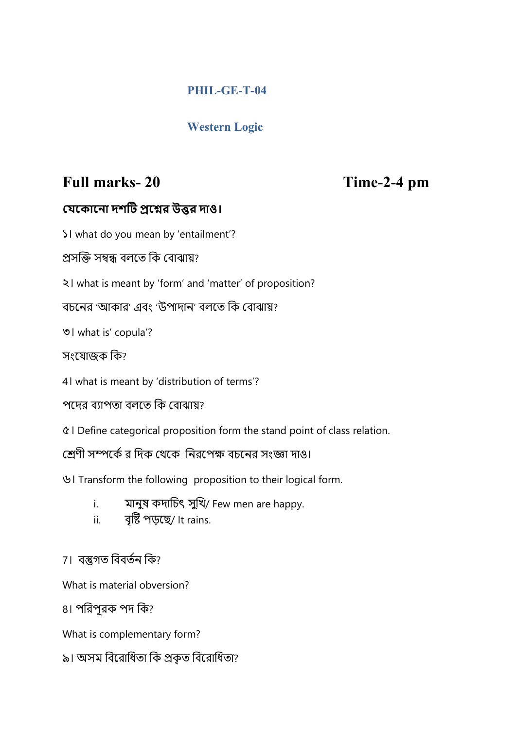## PHIL-GE-T-04

# Western Logic

# Full marks- 20 Time-2-4 pm

### যেকোনো দশটি প্রশ্নের উত্তর দাও।

১। what do you mean by 'entailment'?

প্ৰসক্তি সম্বন্ধ বলতে কি বোঝায়?

২। what is meant by 'form' and 'matter' of proposition?

বচনের 'আকার' এবং 'উপাদান' বলতে কি বোঝায়?

৩। what is' copula'?

সংেযাজক িক?

4। what is meant by 'distribution of terms'?

পদেব ব্যাপতা বলতে কি বোঝায়?

৫। Define categorical proposition form the stand point of class relation.

শ্রেণী সম্পর্কে র দিক থেকে নিরপেক্ষ বচনের সংজ্ঞা দাও।

৬। Transform the following proposition to their logical form.

- i. মানুষ কদাচিৎ সুখি/ Few men are happy.
- ii. বৃষ্টি পড়ছে⁄ It rains.

# 7। বস্তুগত বিবৰ্তন কি?

What is material obversion?

8। পিরপূরক পদ িক?

What is complementary form?

৯। অসম বিরোধিতা কি প্রকৃত বিরোধিতা?